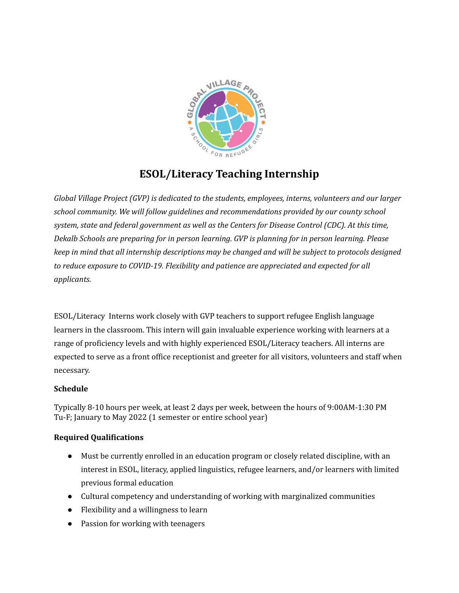

# **ESOL/Literacy Teaching Internship**

*Global Village Project (GVP) is dedicated to the students, employees, interns, volunteers and our larger school community. We will follow guidelines and recommendations provided by our county school system, state and federal government as well as the Centers for Disease Control (CDC). At this time, Dekalb Schools are preparing for in person learning. GVP is planning for in person learning. Please keep in mind that all internship descriptions may be changed and will be subject to protocols designed to reduce exposure to COVID-19. Flexibility and patience are appreciated and expected for all applicants.*

ESOL/Literacy Interns work closely with GVP teachers to support refugee English language learners in the classroom. This intern will gain invaluable experience working with learners at a range of proficiency levels and with highly experienced ESOL/Literacy teachers. All interns are expected to serve as a front office receptionist and greeter for all visitors, volunteers and staff when necessary.

## **Schedule**

Typically 8-10 hours per week, at least 2 days per week, between the hours of 9:00AM-1:30 PM Tu-F; January to May 2022 (1 semester or entire school year)

## **Required Qualifications**

- Must be currently enrolled in an education program or closely related discipline, with an interest in ESOL, literacy, applied linguistics, refugee learners, and/or learners with limited previous formal education
- Cultural competency and understanding of working with marginalized communities
- Flexibility and a willingness to learn
- Passion for working with teenagers